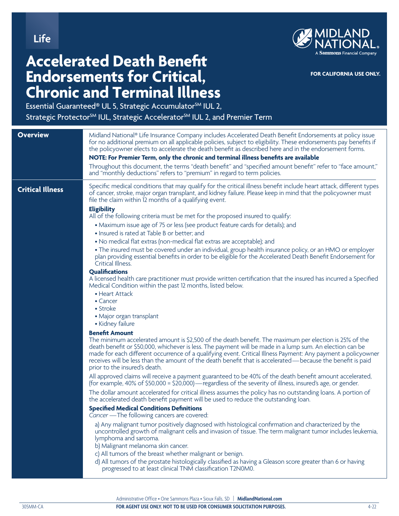**Life**



**FOR CALIFORNIA USE ONLY.**

## **Accelerated Death Benefit Endorsements for Critical, Chronic and Terminal Illness**

Essential Guaranteed® UL 5, Strategic Accumulator<sup>SM</sup> IUL 2,

Strategic Protector<sup>SM</sup> IUL, Strategic Accelerator<sup>SM</sup> IUL 2, and Premier Term

| <b>Overview</b>         | Midland National® Life Insurance Company includes Accelerated Death Benefit Endorsements at policy issue<br>for no additional premium on all applicable policies, subject to eligibility. These endorsements pay benefits if<br>the policyowner elects to accelerate the death benefit as described here and in the endorsement forms.<br>NOTE: For Premier Term, only the chronic and terminal illness benefits are available<br>Throughout this document, the terms "death benefit" and "specified amount benefit" refer to "face amount,"<br>and "monthly deductions" refers to "premium" in regard to term policies.                                                                                                                                                                                                                                                                                                                                                                                                                                                                                                                                                                                                                                                                                                                                                                                                                                                                                                                                                  |
|-------------------------|---------------------------------------------------------------------------------------------------------------------------------------------------------------------------------------------------------------------------------------------------------------------------------------------------------------------------------------------------------------------------------------------------------------------------------------------------------------------------------------------------------------------------------------------------------------------------------------------------------------------------------------------------------------------------------------------------------------------------------------------------------------------------------------------------------------------------------------------------------------------------------------------------------------------------------------------------------------------------------------------------------------------------------------------------------------------------------------------------------------------------------------------------------------------------------------------------------------------------------------------------------------------------------------------------------------------------------------------------------------------------------------------------------------------------------------------------------------------------------------------------------------------------------------------------------------------------|
| <b>Critical Illness</b> | Specific medical conditions that may qualify for the critical illness benefit include heart attack, different types<br>of cancer, stroke, major organ transplant, and kidney failure. Please keep in mind that the policyowner must<br>file the claim within 12 months of a qualifying event.<br><b>Eligibility</b><br>All of the following criteria must be met for the proposed insured to qualify:<br>• Maximum issue age of 75 or less (see product feature cards for details); and<br>• Insured is rated at Table B or better; and<br>• No medical flat extras (non-medical flat extras are acceptable); and<br>• The insured must be covered under an individual, group health insurance policy, or an HMO or employer<br>plan providing essential benefits in order to be eligible for the Accelerated Death Benefit Endorsement for<br>Critical Illness.<br><b>Qualifications</b><br>A licensed health care practitioner must provide written certification that the insured has incurred a Specified<br>Medical Condition within the past 12 months, listed below.<br>• Heart Attack<br>$\bullet$ Cancer<br>• Stroke<br>• Major organ transplant<br>• Kidney failure                                                                                                                                                                                                                                                                                                                                                                                             |
|                         | <b>Benefit Amount</b><br>The minimum accelerated amount is \$2,500 of the death benefit. The maximum per election is 25% of the<br>death benefit or \$50,000, whichever is less. The payment will be made in a lump sum. An election can be<br>made for each different occurrence of a qualifying event. Critical Illness Payment: Any payment a policyowner<br>receives will be less than the amount of the death benefit that is accelerated—because the benefit is paid<br>prior to the insured's death.<br>All approved claims will receive a payment guaranteed to be 40% of the death benefit amount accelerated,<br>(for example, 40% of \$50,000 = \$20,000)—regardless of the severity of illness, insured's age, or gender.<br>The dollar amount accelerated for critical illness assumes the policy has no outstanding loans. A portion of<br>the accelerated death benefit payment will be used to reduce the outstanding loan.<br><b>Specified Medical Conditions Definitions</b><br>Cancer - The following cancers are covered:<br>a) Any malignant tumor positively diagnosed with histological confirmation and characterized by the<br>uncontrolled growth of malignant cells and invasion of tissue. The term malignant tumor includes leukemia,<br>lymphoma and sarcoma.<br>b) Malignant melanoma skin cancer.<br>c) All tumors of the breast whether malignant or benign.<br>d) All tumors of the prostate histologically classified as having a Gleason score greater than 6 or having<br>progressed to at least clinical TNM classification T2N0M0. |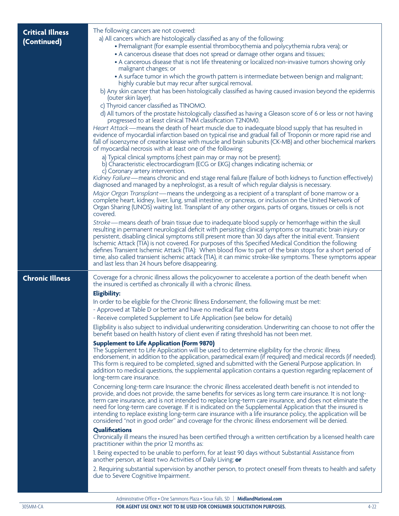| <b>Critical Illness</b><br>(Continued) | The following cancers are not covered:<br>a) All cancers which are histologically classified as any of the following:<br>• Premalignant (for example essential thrombocythemia and polycythemia rubra vera); or<br>• A cancerous disease that does not spread or damage other organs and tissues;<br>• A cancerous disease that is not life threatening or localized non-invasive tumors showing only<br>malignant changes; or<br>• A surface tumor in which the growth pattern is intermediate between benign and malignant;<br>highly curable but may recur after surgical removal.<br>b) Any skin cancer that has been histologically classified as having caused invasion beyond the epidermis<br>(outer skin layer).<br>c) Thyroid cancer classified as TINOMO.<br>d) All tumors of the prostate histologically classified as having a Gleason score of 6 or less or not having<br>progressed to at least clinical TNM classification T2N0M0.<br>Heart Attack—means the death of heart muscle due to inadequate blood supply that has resulted in<br>evidence of myocardial infarction based on typical rise and gradual fall of Troponin or more rapid rise and<br>fall of isoenzyme of creatine kinase with muscle and brain subunits (CK-MB) and other biochemical markers<br>of myocardial necrosis with at least one of the following:<br>a) Typical clinical symptoms (chest pain may or may not be present);<br>b) Characteristic electrocardiogram (ECG or EKG) changes indicating ischemia; or<br>c) Coronary artery intervention.                                                                                                                                                                                                                                                                                                                                                                                                                                                                                                                                                                                                                                                                                                                                                                                                                              |
|----------------------------------------|-------------------------------------------------------------------------------------------------------------------------------------------------------------------------------------------------------------------------------------------------------------------------------------------------------------------------------------------------------------------------------------------------------------------------------------------------------------------------------------------------------------------------------------------------------------------------------------------------------------------------------------------------------------------------------------------------------------------------------------------------------------------------------------------------------------------------------------------------------------------------------------------------------------------------------------------------------------------------------------------------------------------------------------------------------------------------------------------------------------------------------------------------------------------------------------------------------------------------------------------------------------------------------------------------------------------------------------------------------------------------------------------------------------------------------------------------------------------------------------------------------------------------------------------------------------------------------------------------------------------------------------------------------------------------------------------------------------------------------------------------------------------------------------------------------------------------------------------------------------------------------------------------------------------------------------------------------------------------------------------------------------------------------------------------------------------------------------------------------------------------------------------------------------------------------------------------------------------------------------------------------------------------------------------------------------------------------------------------------------------------------|
|                                        | Kidney Failure—means chronic and end stage renal failure (failure of both kidneys to function effectively)<br>diagnosed and managed by a nephrologist, as a result of which regular dialysis is necessary.<br>Major Organ Transplant — means the undergoing as a recipient of a transplant of bone marrow or a<br>complete heart, kidney, liver, lung, small intestine, or pancreas, or inclusion on the United Network of<br>Organ Sharing (UNOS) waiting list. Transplant of any other organs, parts of organs, tissues or cells is not<br>covered.<br>Stroke - means death of brain tissue due to inadequate blood supply or hemorrhage within the skull<br>resulting in permanent neurological deficit with persisting clinical symptoms or traumatic brain injury or<br>persistent, disabling clinical symptoms still present more than 30 days after the initial event. Transient<br>Ischemic Attack (TIA) is not covered. For purposes of this Specified Medical Condition the following<br>defines Transient Ischemic Attack (TIA): When blood flow to part of the brain stops for a short period of<br>time, also called transient ischemic attack (TIA), it can mimic stroke-like symptoms. These symptoms appear<br>and last less than 24 hours before disappearing.                                                                                                                                                                                                                                                                                                                                                                                                                                                                                                                                                                                                                                                                                                                                                                                                                                                                                                                                                                                                                                                                                               |
| <b>Chronic Illness</b>                 | Coverage for a chronic illness allows the policyowner to accelerate a portion of the death benefit when<br>the insured is certified as chronically ill with a chronic illness.<br><b>Eligibility:</b><br>In order to be eligible for the Chronic Illness Endorsement, the following must be met:<br>- Approved at Table D or better and have no medical flat extra<br>- Receive completed Supplement to Life Application (see below for details)<br>Eligibility is also subject to individual underwriting consideration. Underwriting can choose to not offer the<br>benefit based on health history of client even if rating threshold has not been met.<br><b>Supplement to Life Application (Form 9870)</b><br>The Supplement to Life Application will be used to determine eligibility for the chronic illness<br>endorsement, in addition to the application, paramedical exam (if required) and medical records (if needed).<br>This form is required to be completed, signed and submitted with the General Purpose application. In<br>addition to medical questions, the supplemental application contains a question regarding replacement of<br>long-term care insurance.<br>Concerning long-term care Insurance: the chronic illness accelerated death benefit is not intended to<br>provide, and does not provide, the same benefits for services as long term care insurance. It is not long-<br>term care insurance, and is not intended to replace long-term care insurance, and does not eliminate the<br>need for long-term care coverage. If it is indicated on the Supplemental Application that the insured is<br>intending to replace existing long-term care insurance with a life insurance policy, the application will be<br>considered "not in good order" and coverage for the chronic illness endorsement will be denied.<br><b>Qualifications</b><br>Chronically ill means the insured has been certified through a written certification by a licensed health care<br>practitioner within the prior 12 months as:<br>I. Being expected to be unable to perform, for at least 90 days without Substantial Assistance from<br>another person, at least two Activities of Daily Living; or<br>2. Requiring substantial supervision by another person, to protect oneself from threats to health and safety<br>due to Severe Cognitive Impairment. |

Administrative Office • One Sammons Plaza • Sioux Falls, SD | **MidlandNational.com**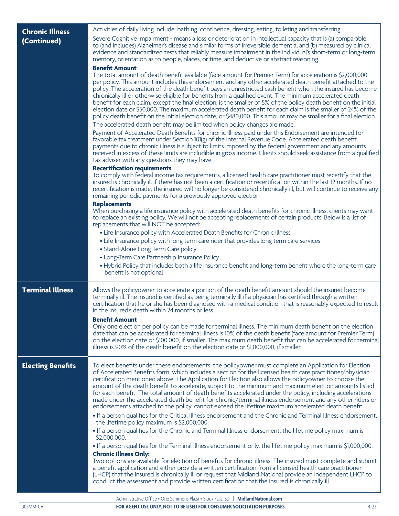| <b>Chronic Illness</b>   | Activities of daily living include: bathing, continence, dressing, eating, toileting and transferring.                                                                                                                                                                                                                                                                                                                                                                                                                                                                                                                                                                                                                                                                                                                                                                                                                                                                                                                                                                                                                                                                                                                                                                                                                                                                                                                                                                                                                                                                                                                                                                                                                                                                                                                                                                                                                                                                                                                                                                                                                                                                                                                                                                                                                                                                                                                                                                                                                                                                                                        |
|--------------------------|---------------------------------------------------------------------------------------------------------------------------------------------------------------------------------------------------------------------------------------------------------------------------------------------------------------------------------------------------------------------------------------------------------------------------------------------------------------------------------------------------------------------------------------------------------------------------------------------------------------------------------------------------------------------------------------------------------------------------------------------------------------------------------------------------------------------------------------------------------------------------------------------------------------------------------------------------------------------------------------------------------------------------------------------------------------------------------------------------------------------------------------------------------------------------------------------------------------------------------------------------------------------------------------------------------------------------------------------------------------------------------------------------------------------------------------------------------------------------------------------------------------------------------------------------------------------------------------------------------------------------------------------------------------------------------------------------------------------------------------------------------------------------------------------------------------------------------------------------------------------------------------------------------------------------------------------------------------------------------------------------------------------------------------------------------------------------------------------------------------------------------------------------------------------------------------------------------------------------------------------------------------------------------------------------------------------------------------------------------------------------------------------------------------------------------------------------------------------------------------------------------------------------------------------------------------------------------------------------------------|
| (Continued)              | Severe Cognitive Impairment - means a loss or deterioration in intellectual capacity that is (a) comparable<br>to (and includes) Alzheimer's disease and similar forms of irreversible dementia, and (b) measured by clinical<br>evidence and standardized tests that reliably measure impairment in the individual's short-term or long-term<br>memory, orientation as to people, places, or time, and deductive or abstract reasoning.                                                                                                                                                                                                                                                                                                                                                                                                                                                                                                                                                                                                                                                                                                                                                                                                                                                                                                                                                                                                                                                                                                                                                                                                                                                                                                                                                                                                                                                                                                                                                                                                                                                                                                                                                                                                                                                                                                                                                                                                                                                                                                                                                                      |
|                          | <b>Benefit Amount</b><br>The total amount of death benefit available (face amount for Premier Term) for acceleration is \$2,000,000<br>per policy. This amount includes this endorsement and any other accelerated death benefit attached to the<br>policy. The acceleration of the death benefit pays an unrestricted cash benefit when the insured has become<br>chronically ill or otherwise eligible for benefits from a qualified event. The minimum accelerated death<br>benefit for each claim, except the final election, is the smaller of 5% of the policy death benefit on the initial<br>election date or \$50,000. The maximum accelerated death benefit for each claim is the smaller of 24% of the<br>policy death benefit on the initial election date, or \$480,000. This amount may be smaller for a final election.<br>The accelerated death benefit may be limited when policy changes are made.<br>Payment of Accelerated Death Benefits for chronic illness paid under this Endorsement are intended for<br>favorable tax treatment under Section 101(g) of the Internal Revenue Code. Accelerated death benefit<br>payments due to chronic illness is subject to limits imposed by the federal government and any amounts<br>received in excess of these limits are includible in gross income. Clients should seek assistance from a qualified<br>tax adviser with any questions they may have.<br><b>Recertification requirements</b><br>To comply with federal income tax requirements, a licensed health care practitioner must recertify that the<br>insured is chronically ill if there has not been a certification or recertification within the last 12 months. If no<br>recertification is made, the insured will no longer be considered chronically ill, but will continue to receive any<br>remaining periodic payments for a previously approved election.<br><b>Replacements</b><br>When purchasing a life insurance policy with accelerated death benefits for chronic illness, clients may want<br>to replace an existing policy. We will not be accepting replacements of certain products. Below is a list of<br>replacements that will NOT be accepted:<br>• Life Insurance policy with Accelerated Death Benefits for Chronic Illness<br>• Life Insurance policy with long term care rider that provides long term care services<br>• Stand-Alone Long Term Care policy<br>• Long-Term Care Partnership Insurance Policy<br>. Hybrid Policy that includes both a life insurance benefit and long-term benefit where the long-term care<br>benefit is not optional |
| <b>Terminal Illness</b>  | Allows the policyowner to accelerate a portion of the death benefit amount should the insured become<br>terminally ill. The insured is certified as being terminally ill if a physician has certified through a written<br>certification that he or she has been diagnosed with a medical condition that is reasonably expected to result<br>in the insured's death within 24 months or less.<br><b>Benefit Amount</b><br>Only one election per policy can be made for terminal illness. The minimum death benefit on the election<br>date that can be accelerated for terminal illness is 10% of the death benefit (face amount for Premier Term)<br>on the election date or \$100,000, if smaller. The maximum death benefit that can be accelerated for terminal                                                                                                                                                                                                                                                                                                                                                                                                                                                                                                                                                                                                                                                                                                                                                                                                                                                                                                                                                                                                                                                                                                                                                                                                                                                                                                                                                                                                                                                                                                                                                                                                                                                                                                                                                                                                                                           |
|                          | illness is 90% of the death benefit on the election date or \$1,000,000, if smaller.                                                                                                                                                                                                                                                                                                                                                                                                                                                                                                                                                                                                                                                                                                                                                                                                                                                                                                                                                                                                                                                                                                                                                                                                                                                                                                                                                                                                                                                                                                                                                                                                                                                                                                                                                                                                                                                                                                                                                                                                                                                                                                                                                                                                                                                                                                                                                                                                                                                                                                                          |
| <b>Electing Benefits</b> | To elect benefits under these endorsements, the policyowner must complete an Application for Election<br>of Accelerated Benefits form, which includes a section for the licensed health care practitioner/physician<br>certification mentioned above. The Application for Election also allows the policyowner to choose the<br>amount of the death benefit to accelerate, subject to the minimum and maximum election amounts listed<br>for each benefit. The total amount of death benefits accelerated under the policy, including accelerations<br>made under the accelerated death benefit for chronic/terminal illness endorsement and any other riders or<br>endorsements attached to the policy, cannot exceed the lifetime maximum accelerated death benefit.<br>. If a person qualifies for the Critical Illness endorsement and the Chronic and Terminal Illness endorsement,<br>the lifetime policy maximum is \$2,000,000.<br>• If a person qualifies for the Chronic and Terminal Illness endorsement, the lifetime policy maximum is<br>\$2,000,000.<br>• If a person qualifies for the Terminal Illness endorsement only, the lifetime policy maximum is \$1,000,000.<br><b>Chronic Illness Only:</b>                                                                                                                                                                                                                                                                                                                                                                                                                                                                                                                                                                                                                                                                                                                                                                                                                                                                                                                                                                                                                                                                                                                                                                                                                                                                                                                                                                                         |
|                          | Two options are available for election of benefits for chronic illness. The insured must complete and submit<br>a benefit application and either provide a written certification from a licensed health care practitioner<br>(LHCP) that the insured is chronically ill or request that Midland National provide an independent LHCP to<br>conduct the assessment and provide written certification that the insured is chronically ill.                                                                                                                                                                                                                                                                                                                                                                                                                                                                                                                                                                                                                                                                                                                                                                                                                                                                                                                                                                                                                                                                                                                                                                                                                                                                                                                                                                                                                                                                                                                                                                                                                                                                                                                                                                                                                                                                                                                                                                                                                                                                                                                                                                      |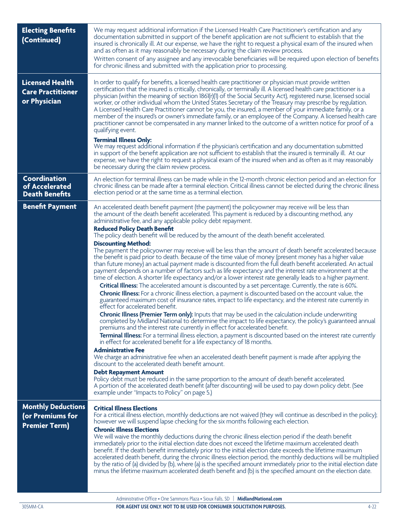| <b>Electing Benefits</b><br>(Continued)                               | We may request additional information if the Licensed Health Care Practitioner's certification and any<br>documentation submitted in support of the benefit application are not sufficient to establish that the<br>insured is chronically ill. At our expense, we have the right to request a physical exam of the insured when<br>and as often as it may reasonably be necessary during the claim review process.<br>Written consent of any assignee and any irrevocable beneficiaries will be required upon election of benefits<br>for chronic illness and submitted with the application prior to processing.                                                                                                                                                                                                                                                                                                                                                                                                                                                                                                                                                                                                                                                                                                                                                                                                                                                                                                                                                                                                                                                                                                                                                                                                                                                                                                                                                                                                                                                                                                                                                                                                                                                                                                                                                                |
|-----------------------------------------------------------------------|-----------------------------------------------------------------------------------------------------------------------------------------------------------------------------------------------------------------------------------------------------------------------------------------------------------------------------------------------------------------------------------------------------------------------------------------------------------------------------------------------------------------------------------------------------------------------------------------------------------------------------------------------------------------------------------------------------------------------------------------------------------------------------------------------------------------------------------------------------------------------------------------------------------------------------------------------------------------------------------------------------------------------------------------------------------------------------------------------------------------------------------------------------------------------------------------------------------------------------------------------------------------------------------------------------------------------------------------------------------------------------------------------------------------------------------------------------------------------------------------------------------------------------------------------------------------------------------------------------------------------------------------------------------------------------------------------------------------------------------------------------------------------------------------------------------------------------------------------------------------------------------------------------------------------------------------------------------------------------------------------------------------------------------------------------------------------------------------------------------------------------------------------------------------------------------------------------------------------------------------------------------------------------------------------------------------------------------------------------------------------------------|
| <b>Licensed Health</b><br><b>Care Practitioner</b><br>or Physician    | In order to qualify for benefits, a licensed health care practitioner or physician must provide written<br>certification that the insured is critically, chronically, or terminally ill. A licensed health care practitioner is a<br>physician (within the meaning of section 1861(r)(1) of the Social Security Act), registered nurse, licensed social<br>worker, or other individual whom the United States Secretary of the Treasury may prescribe by regulation.<br>A Licensed Health Care Practitioner cannot be you, the insured, a member of your immediate family, or a<br>member of the insured's or owner's immediate family, or an employee of the Company. A licensed health care<br>practitioner cannot be compensated in any manner linked to the outcome of a written notice for proof of a<br>qualifying event.<br><b>Terminal Illness Only:</b>                                                                                                                                                                                                                                                                                                                                                                                                                                                                                                                                                                                                                                                                                                                                                                                                                                                                                                                                                                                                                                                                                                                                                                                                                                                                                                                                                                                                                                                                                                                  |
|                                                                       | We may request additional information if the physician's certification and any documentation submitted<br>in support of the benefit application are not sufficient to establish that the insured is terminally ill. At our<br>expense, we have the right to request a physical exam of the insured when and as often as it may reasonably<br>be necessary during the claim review process.                                                                                                                                                                                                                                                                                                                                                                                                                                                                                                                                                                                                                                                                                                                                                                                                                                                                                                                                                                                                                                                                                                                                                                                                                                                                                                                                                                                                                                                                                                                                                                                                                                                                                                                                                                                                                                                                                                                                                                                        |
| Coordination<br>of Accelerated<br><b>Death Benefits</b>               | An election for terminal illness can be made while in the 12-month chronic election period and an election for<br>chronic illness can be made after a terminal election. Critical illness cannot be elected during the chronic illness<br>election period or at the same time as a terminal election.                                                                                                                                                                                                                                                                                                                                                                                                                                                                                                                                                                                                                                                                                                                                                                                                                                                                                                                                                                                                                                                                                                                                                                                                                                                                                                                                                                                                                                                                                                                                                                                                                                                                                                                                                                                                                                                                                                                                                                                                                                                                             |
| <b>Benefit Payment</b>                                                | An accelerated death benefit payment (the payment) the policyowner may receive will be less than<br>the amount of the death benefit accelerated. This payment is reduced by a discounting method, any<br>administrative fee, and any applicable policy debt repayment.<br><b>Reduced Policy Death Benefit</b><br>The policy death benefit will be reduced by the amount of the death benefit accelerated.<br><b>Discounting Method:</b><br>The payment the policyowner may receive will be less than the amount of death benefit accelerated because<br>the benefit is paid prior to death. Because of the time value of money (present money has a higher value<br>than future money) an actual payment made is discounted from the full death benefit accelerated. An actual<br>payment depends on a number of factors such as life expectancy and the interest rate environment at the<br>time of election. A shorter life expectancy and/or a lower interest rate generally leads to a higher payment.<br>Critical Illness: The accelerated amount is discounted by a set percentage. Currently, the rate is 60%.<br>Chronic Illness: For a chronic illness election, a payment is discounted based on the account value, the<br>guaranteed maximum cost of insurance rates, impact to life expectancy, and the interest rate currently in<br>effect for accelerated benefit.<br>Chronic Illness (Premier Term only): Inputs that may be used in the calculation include underwriting<br>completed by Midland National to determine the impact to life expectancy, the policy's guaranteed annual<br>premiums and the interest rate currently in effect for accelerated benefit.<br><b>Terminal Illness:</b> For a terminal illness election, a payment is discounted based on the interest rate currently<br>in effect for accelerated benefit for a life expectancy of 18 months.<br><b>Administrative Fee</b><br>We charge an administrative fee when an accelerated death benefit payment is made after applying the<br>discount to the accelerated death benefit amount.<br><b>Debt Repayment Amount</b><br>Policy debt must be reduced in the same proportion to the amount of death benefit accelerated.<br>A portion of the accelerated death benefit (after discounting) will be used to pay down policy debt. (See<br>example under "Impacts to Policy" on page 5.) |
| <b>Monthly Deductions</b><br>(or Premiums for<br><b>Premier Term)</b> | <b>Critical Illness Elections</b><br>For a critical illness election, monthly deductions are not waived (they will continue as described in the policy);<br>however we will suspend lapse checking for the six months following each election.<br><b>Chronic Illness Elections</b><br>We will waive the monthly deductions during the chronic illness election period if the death benefit<br>immediately prior to the initial election date does not exceed the lifetime maximum accelerated death<br>benefit. If the death benefit immediately prior to the initial election date exceeds the lifetime maximum<br>accelerated death benefit, during the chronic illness election period, the monthly deductions will be multiplied<br>by the ratio of (a) divided by (b), where (a) is the specified amount immediately prior to the initial election date<br>minus the lifetime maximum accelerated death benefit and (b) is the specified amount on the election date.                                                                                                                                                                                                                                                                                                                                                                                                                                                                                                                                                                                                                                                                                                                                                                                                                                                                                                                                                                                                                                                                                                                                                                                                                                                                                                                                                                                                        |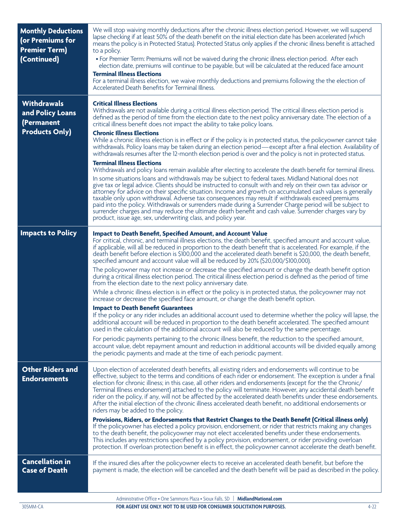| <b>Monthly Deductions</b><br>(or Premiums for<br><b>Premier Term)</b><br>(Continued) | We will stop waiving monthly deductions after the chronic illness election period. However, we will suspend<br>lapse checking if at least 50% of the death benefit on the initial election date has been accelerated (which<br>means the policy is in Protected Status). Protected Status only applies if the chronic illness benefit is attached<br>to a policy.<br>· For Premier Term: Premiums will not be waived during the chronic illness election period. After each<br>election date, premiums will continue to be payable, but will be calculated at the reduced face amount<br><b>Terminal Illness Elections</b><br>For a terminal illness election, we waive monthly deductions and premiums following the the election of<br>Accelerated Death Benefits for Terminal Illness.                                                                                                                                                                                                                                                                                                                                                                                                                                                                                                                                                                                                                                                                                                                                                                                                                                                                                                |
|--------------------------------------------------------------------------------------|------------------------------------------------------------------------------------------------------------------------------------------------------------------------------------------------------------------------------------------------------------------------------------------------------------------------------------------------------------------------------------------------------------------------------------------------------------------------------------------------------------------------------------------------------------------------------------------------------------------------------------------------------------------------------------------------------------------------------------------------------------------------------------------------------------------------------------------------------------------------------------------------------------------------------------------------------------------------------------------------------------------------------------------------------------------------------------------------------------------------------------------------------------------------------------------------------------------------------------------------------------------------------------------------------------------------------------------------------------------------------------------------------------------------------------------------------------------------------------------------------------------------------------------------------------------------------------------------------------------------------------------------------------------------------------------|
| <b>Withdrawals</b><br>and Policy Loans<br>(Permanent<br><b>Products Only)</b>        | <b>Critical Illness Elections</b><br>Withdrawals are not available during a critical illness election period. The critical illness election period is<br>defined as the period of time from the election date to the next policy anniversary date. The election of a<br>critical illness benefit does not impact the ability to take policy loans.<br><b>Chronic Illness Elections</b><br>While a chronic illness election is in effect or if the policy is in protected status, the policyowner cannot take<br>withdrawals. Policy loans may be taken during an election period—except after a final election. Availability of<br>withdrawals resumes after the 12-month election period is over and the policy is not in protected status.<br><b>Terminal Illness Elections</b><br>Withdrawals and policy loans remain available after electing to accelerate the death benefit for terminal illness.<br>In some situations loans and withdrawals may be subject to federal taxes. Midland National does not<br>give tax or legal advice. Clients should be instructed to consult with and rely on their own tax advisor or<br>attorney for advice on their specific situation. Income and growth on accumulated cash values is generally<br>taxable only upon withdrawal. Adverse tax consequences may result if withdrawals exceed premiums<br>paid into the policy. Withdrawals or surrenders made during a Surrender Charge period will be subject to<br>surrender charges and may reduce the ultimate death benefit and cash value. Surrender charges vary by<br>product, issue age, sex, underwriting class, and policy year.                                                    |
| <b>Impacts to Policy</b>                                                             | <b>Impact to Death Benefit, Specified Amount, and Account Value</b><br>For critical, chronic, and terminal illness elections, the death benefit, specified amount and account value,<br>if applicable, will all be reduced in proportion to the death benefit that is accelerated. For example, if the<br>death benefit before election is \$100,000 and the accelerated death benefit is \$20,000, the death benefit,<br>specified amount and account value will all be reduced by 20% (\$20,000/\$100,000).<br>The policyowner may not increase or decrease the specified amount or change the death benefit option<br>during a critical illness election period. The critical illness election period is defined as the period of time<br>from the election date to the next policy anniversary date.<br>While a chronic illness election is in effect or the policy is in protected status, the policyowner may not<br>increase or decrease the specified face amount, or change the death benefit option.<br><b>Impact to Death Benefit Guarantees</b><br>If the policy or any rider includes an additional account used to determine whether the policy will lapse, the<br>additional account will be reduced in proportion to the death benefit accelerated. The specified amount<br>used in the calculation of the additional account will also be reduced by the same percentage.<br>For periodic payments pertaining to the chronic illness benefit, the reduction to the specified amount,<br>account value, debt repayment amount and reduction in additional accounts will be divided equally among<br>the periodic payments and made at the time of each periodic payment. |
| <b>Other Riders and</b><br><b>Endorsements</b>                                       | Upon election of accelerated death benefits, all existing riders and endorsements will continue to be<br>effective, subject to the terms and conditions of each rider or endorsement. The exception is under a final<br>election for chronic illness; in this case, all other riders and endorsements (except for the the Chronic/<br>Terminal Illness endorsement) attached to the policy will terminate. However, any accidental death benefit<br>rider on the policy, if any, will not be affected by the accelerated death benefits under these endorsements.<br>After the initial election of the chronic illness accelerated death benefit, no additional endorsements or<br>riders may be added to the policy.<br>Provisions, Riders, or Endorsements that Restrict Changes to the Death Benefit (Critical illness only)<br>If the policyowner has elected a policy provision, endorsement, or rider that restricts making any changes<br>to the death benefit, the policyowner may not elect accelerated benefits under these endorsements.<br>This includes any restrictions specified by a policy provision, endorsement, or rider providing overloan<br>protection. If overloan protection benefit is in effect, the policyowner cannot accelerate the death benefit.                                                                                                                                                                                                                                                                                                                                                                                                         |
| <b>Cancellation in</b><br><b>Case of Death</b>                                       | If the insured dies after the policyowner elects to receive an accelerated death benefit, but before the<br>payment is made, the election will be cancelled and the death benefit will be paid as described in the policy.<br>Administrative Office . One Sammons Plaza . Siouv Falls: SD.   MidlandNational com                                                                                                                                                                                                                                                                                                                                                                                                                                                                                                                                                                                                                                                                                                                                                                                                                                                                                                                                                                                                                                                                                                                                                                                                                                                                                                                                                                         |

Administrative Office • One Sammons Plaza • Sioux Falls, SD | **MidlandNational.com**

**FOR AGENT USE ONLY. NOT TO BE USED FOR CONSUMER SOLICITATION PURPOSES.** 4-22 4-22